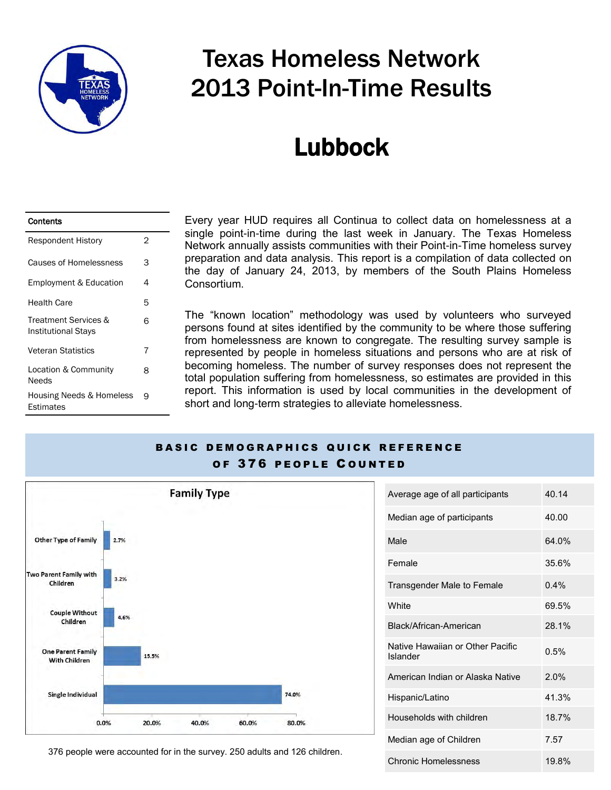

# Texas Homeless Network 2013 Point-In-Time Results

# Lubbock

| Contents                                     |   |
|----------------------------------------------|---|
| <b>Respondent History</b>                    | 2 |
| Causes of Homelessness                       | 3 |
| <b>Employment &amp; Education</b>            | 4 |
| <b>Health Care</b>                           | 5 |
| Treatment Services &<br>Institutional Stays  | 6 |
| <b>Veteran Statistics</b>                    | 7 |
| Location & Community<br>Needs                | 8 |
| Housing Needs & Homeless<br><b>Estimates</b> | 9 |

Every year HUD requires all Continua to collect data on homelessness at a single point-in-time during the last week in January. The Texas Homeless Network annually assists communities with their Point-in-Time homeless survey preparation and data analysis. This report is a compilation of data collected on the day of January 24, 2013, by members of the South Plains Homeless Consortium.

The "known location" methodology was used by volunteers who surveyed persons found at sites identified by the community to be where those suffering from homelessness are known to congregate. The resulting survey sample is represented by people in homeless situations and persons who are at risk of becoming homeless. The number of survey responses does not represent the total population suffering from homelessness, so estimates are provided in this report. This information is used by local communities in the development of short and long-term strategies to alleviate homelessness.

#### BASIC DEMOGRAPHICS QUICK REFERENCE OF 376 PEOPLE COUNTED



| Average age of all participants              | 40.14 |
|----------------------------------------------|-------|
| Median age of participants                   | 40.00 |
| Male                                         | 64.0% |
| Female                                       | 35.6% |
| Transgender Male to Female                   | 0.4%  |
| <b>White</b>                                 | 69.5% |
| Black/African-American                       | 28.1% |
| Native Hawaiian or Other Pacific<br>Islander | 0.5%  |
| American Indian or Alaska Native             | 2.0%  |
| Hispanic/Latino                              | 41.3% |
| Households with children                     | 18.7% |
| Median age of Children                       | 7.57  |
| <b>Chronic Homelessness</b>                  | 19.8% |

376 people were accounted for in the survey. 250 adults and 126 children.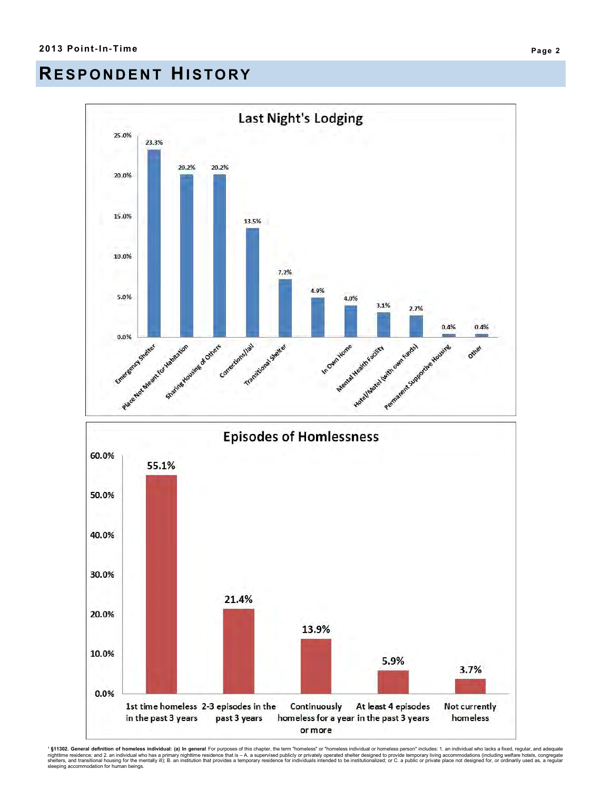#### **RE S P O N D E N T HI S TO RY**



' **§11302. General definition of homeless individual: (a) In general** For purposes of this chapter, the term "homeless' or "homeless individual or homeless person" includes: 1. an individual who lacks a fixed, regular, and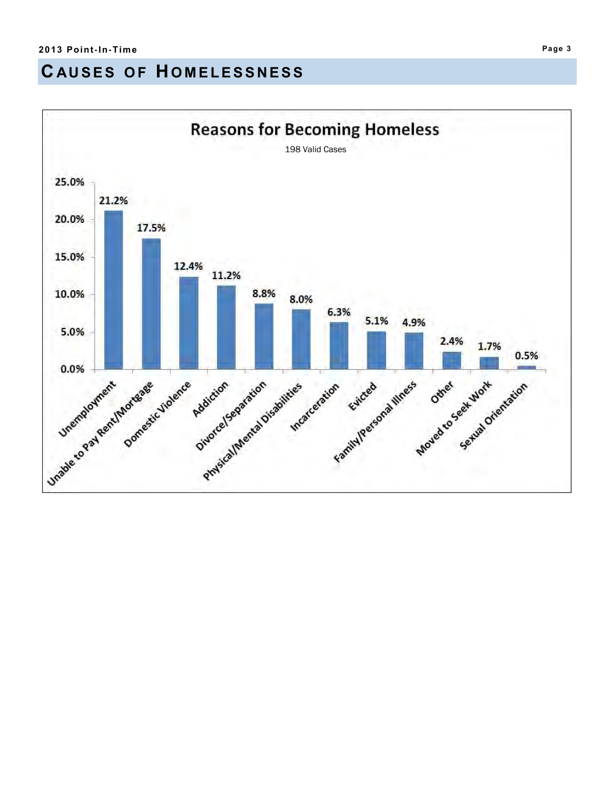## **C AU S E S O F H O M E L E S S N E S S**

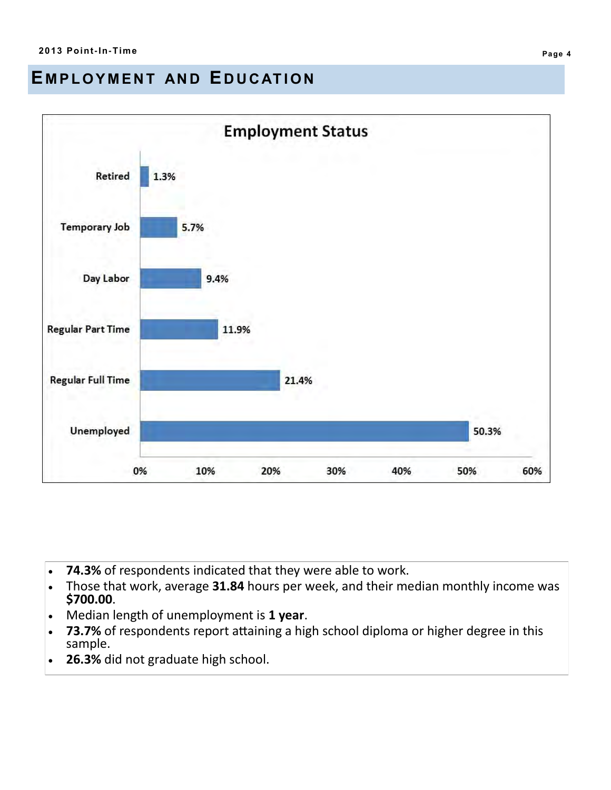#### EMPLOYMENT AND EDUCATION



- **74.3%** of respondents indicated that they were able to work.
- Those that work, average **31.84** hours per week, and their median monthly income was **\$700.00**.
- Median length of unemployment is **1 year**.
- **73.7%** of respondents report attaining a high school diploma or higher degree in this sample.
- **26.3%** did not graduate high school.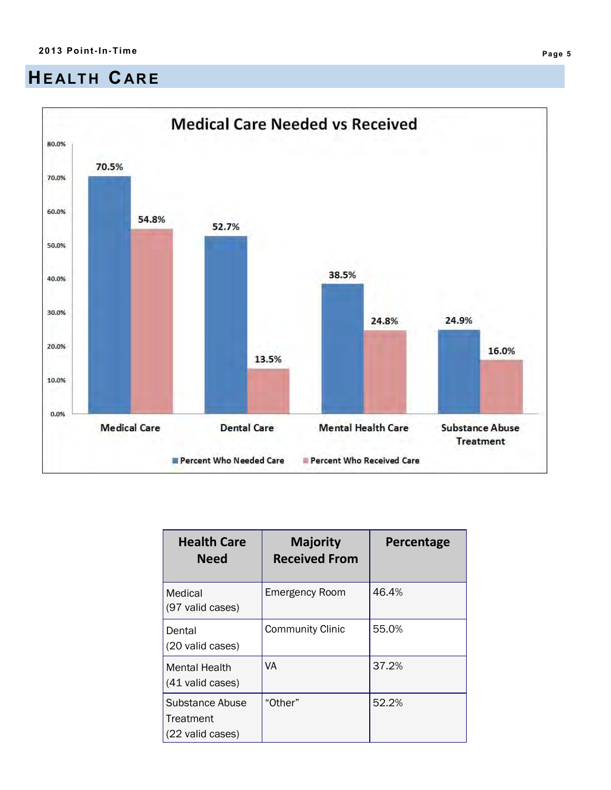## **HE ALT H CAR E**



| <b>Health Care</b><br><b>Need</b>                | <b>Majority</b><br><b>Received From</b> | Percentage |
|--------------------------------------------------|-----------------------------------------|------------|
| Medical<br>(97 valid cases)                      | <b>Emergency Room</b>                   | 46.4%      |
| Dental<br>(20 valid cases)                       | <b>Community Clinic</b>                 | 55.0%      |
| Mental Health<br>(41 valid cases)                | VA                                      | 37.2%      |
| Substance Abuse<br>Treatment<br>(22 valid cases) | "Other"                                 | 52.2%      |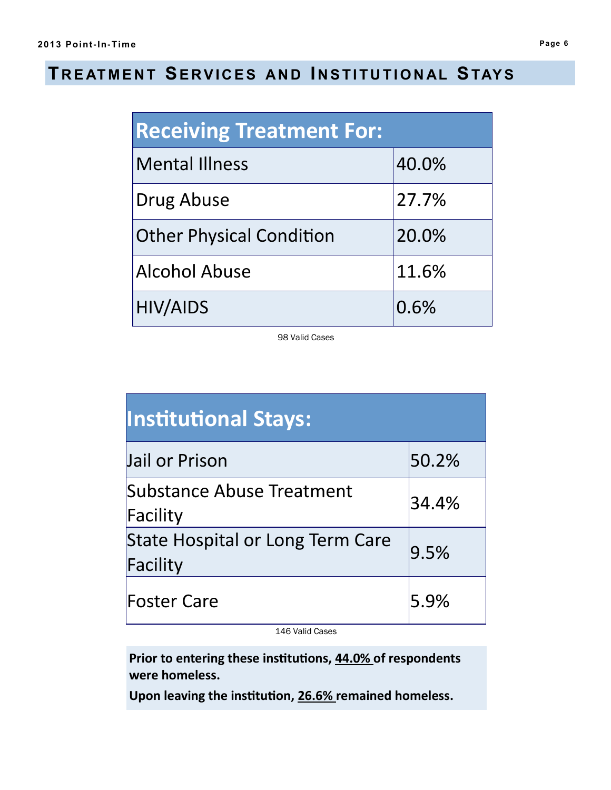### **T R E AT M E N T SE R V I C E S AN D I N S T I T U T I O N AL STAY S**

| <b>Receiving Treatment For:</b> |       |  |
|---------------------------------|-------|--|
| <b>Mental Illness</b>           | 40.0% |  |
| Drug Abuse                      | 27.7% |  |
| <b>Other Physical Condition</b> | 20.0% |  |
| <b>Alcohol Abuse</b>            | 11.6% |  |
| <b>HIV/AIDS</b>                 | 0.6%  |  |

98 Valid Cases

| <b>Institutional Stays:</b>                  |         |
|----------------------------------------------|---------|
| Jail or Prison                               | 50.2%   |
| Substance Abuse Treatment<br>Facility        | 34.4%   |
| State Hospital or Long Term Care<br>Facility | 9.5%    |
| <b>Foster Care</b>                           | $5.9\%$ |

146 Valid Cases

**Prior to entering these institutions, 44.0% of respondents were homeless.** 

**Upon leaving the institution, 26.6% remained homeless.**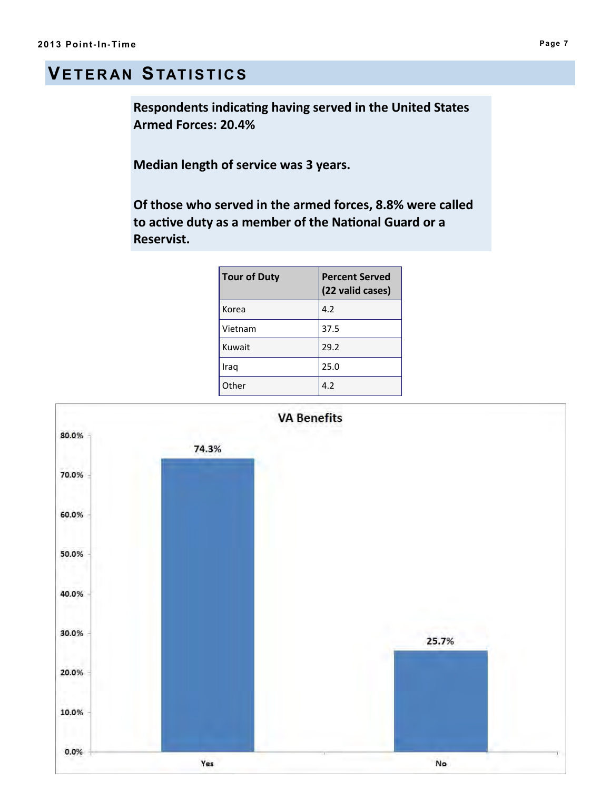## **VE T E R AN STAT I S T I C S**

**Respondents indicating having served in the United States Armed Forces: 20.4%**

**Median length of service was 3 years.**

**Of those who served in the armed forces, 8.8% were called to active duty as a member of the National Guard or a Reservist.** 

| <b>Tour of Duty</b> | <b>Percent Served</b><br>(22 valid cases) |
|---------------------|-------------------------------------------|
| Korea               | 4.2                                       |
| Vietnam             | 37.5                                      |
| Kuwait              | 29.2                                      |
| Iraq                | 25.0                                      |
| Other               | 4.2                                       |

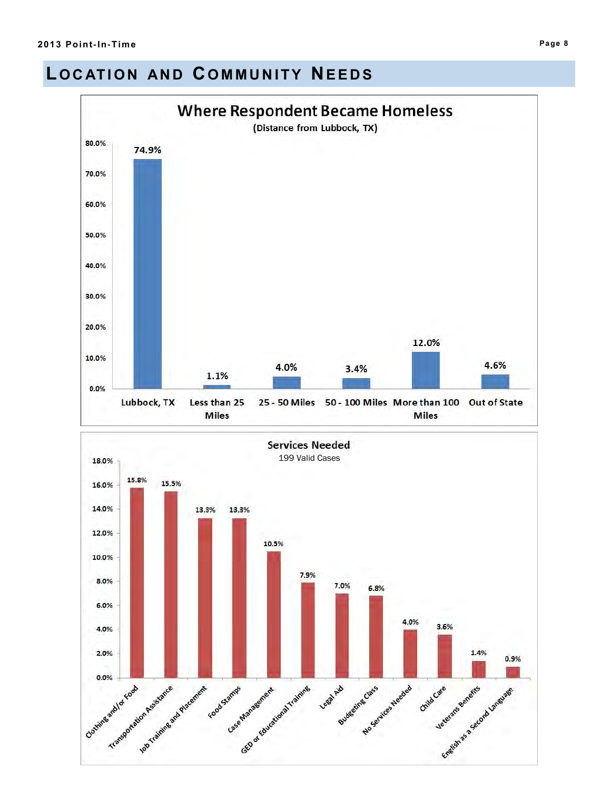#### **LOCATION AND COMMUNITY NEEDS**

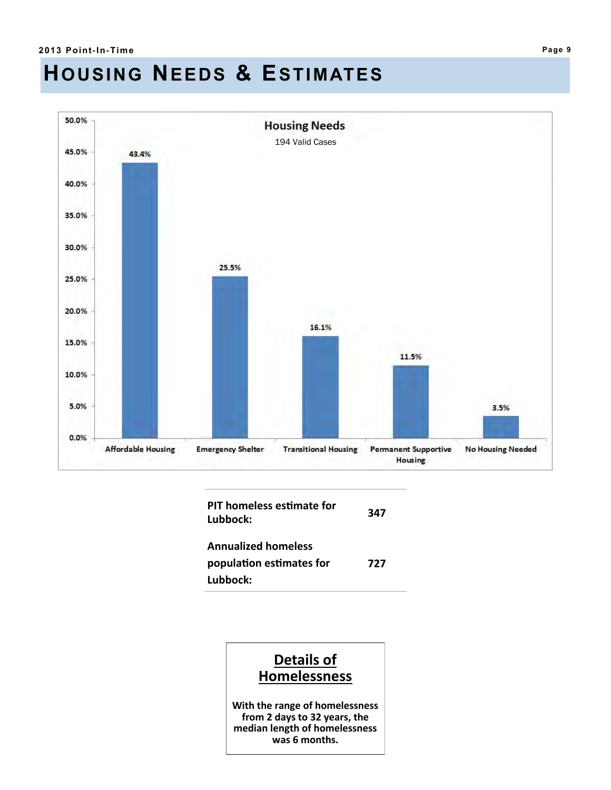# **HOUSING NEEDS & ESTIMATES**



| PIT homeless estimate for<br>Lubbock:                              | 347 |
|--------------------------------------------------------------------|-----|
| <b>Annualized homeless</b><br>population estimates for<br>Lubbock: | 727 |

#### **Details of Homelessness**

**With the range of homelessness from 2 days to 32 years, the median length of homelessness was 6 months.**